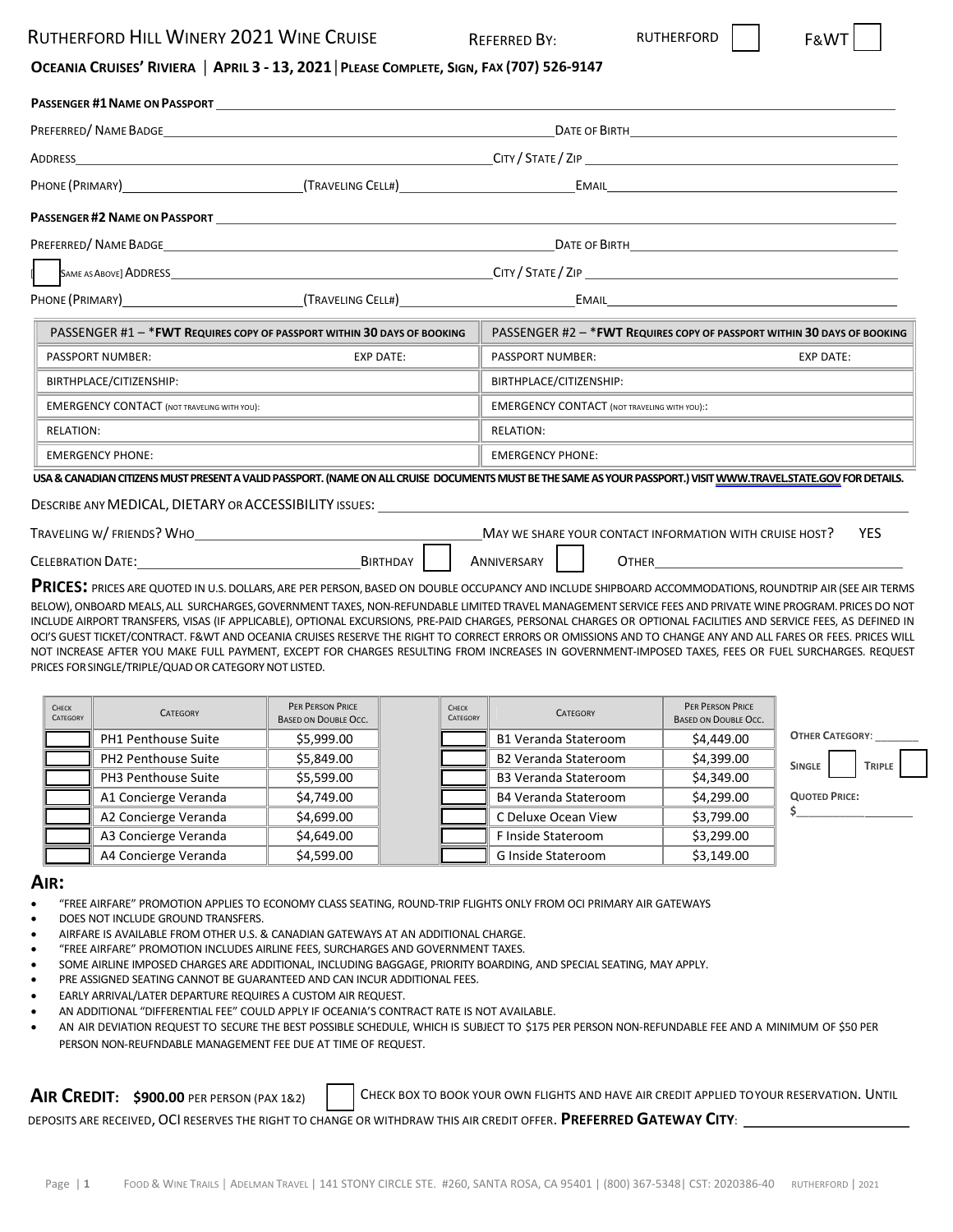## RUTHERFORD HILL WINERY 2021 WINE CRUISE REFERRED BY: RUTHERFORD

## OCEANIA CRUISES' RIVIERA | APRIL 3 - 13, 2021 | PLEASE COMPLETE, SIGN, FAX (707) 526-9147

| <b>PASSENGER #1 NAME ON PASSPORT</b>               |                                                                                                                       |                                                                                                                                                                  |                                                                |  |  |
|----------------------------------------------------|-----------------------------------------------------------------------------------------------------------------------|------------------------------------------------------------------------------------------------------------------------------------------------------------------|----------------------------------------------------------------|--|--|
|                                                    |                                                                                                                       |                                                                                                                                                                  |                                                                |  |  |
|                                                    |                                                                                                                       |                                                                                                                                                                  |                                                                |  |  |
|                                                    | PHONE (PRIMARY) CHANGELING CELLES                                                                                     |                                                                                                                                                                  | EMAIL <b>Example 2008</b>                                      |  |  |
|                                                    | <b>PASSENGER #2 NAME ON PASSPORT CONTRACTED ASSESSED FOR A SET ON STATE OF STATE OF STATE OF STATE OF STATE OF ST</b> |                                                                                                                                                                  |                                                                |  |  |
|                                                    |                                                                                                                       |                                                                                                                                                                  |                                                                |  |  |
|                                                    |                                                                                                                       |                                                                                                                                                                  |                                                                |  |  |
|                                                    |                                                                                                                       |                                                                                                                                                                  |                                                                |  |  |
|                                                    | PASSENGER #1 - * FWT REQUIRES COPY OF PASSPORT WITHIN 30 DAYS OF BOOKING                                              | PASSENGER #2 - * FWT REQUIRES COPY OF PASSPORT WITHIN 30 DAYS OF BOOKING                                                                                         |                                                                |  |  |
| PASSPORT NUMBER:                                   | <b>EXP DATE:</b>                                                                                                      | PASSPORT NUMBER:                                                                                                                                                 | <b>EXP DATE:</b>                                               |  |  |
| BIRTHPLACE/CITIZENSHIP:                            |                                                                                                                       | BIRTHPLACE/CITIZENSHIP:                                                                                                                                          |                                                                |  |  |
| <b>EMERGENCY CONTACT (NOT TRAVELING WITH YOU):</b> |                                                                                                                       | <b>EMERGENCY CONTACT (NOT TRAVELING WITH YOU):</b>                                                                                                               |                                                                |  |  |
| <b>RELATION:</b>                                   |                                                                                                                       | <b>RELATION:</b>                                                                                                                                                 | <u> 1980 - Antonio Alemania, politikar politikar (h. 1980)</u> |  |  |
| <b>EMERGENCY PHONE:</b>                            |                                                                                                                       | <b>EMERGENCY PHONE:</b>                                                                                                                                          |                                                                |  |  |
|                                                    |                                                                                                                       | USA & CANADIAN CITIZENS MUST PRESENT A VALID PASSPORT. (NAME ON ALL CRUISE DOCUMENTS MUST BE THE SAME AS YOUR PASSPORT.) VISIT WWW.TRAVEL.STATE.GOV FOR DETAILS. |                                                                |  |  |

### DESCRIBE ANY MEDICAL, DIETARY OR ACCESSIBILITY ISSUES:

| TRAVELING W/FRIENDS? WHO | YES<br>MAY WE SHARE YOUR CONTACT INFORMATION WITH CRUISE HOST? |             |       |  |
|--------------------------|----------------------------------------------------------------|-------------|-------|--|
| <b>CELEBRATION DATE:</b> | <b>BIRTHDAY</b>                                                | Anniversary | Јтнер |  |

**PRICES:** PRICES ARE QUOTED IN U.S.DOLLARS,ARE PER PERSON,BASED ON DOUBLE OCCUPANCY AND INCLUDE SHIPBOARD ACCOMMODATIONS, ROUNDTRIP AIR (SEE AIR TERMS BELOW), ONBOARD MEALS,ALL SURCHARGES,GOVERNMENT TAXES, NON‐REFUNDABLE LIMITED TRAVEL MANAGEMENT SERVICE FEES AND PRIVATE WINE PROGRAM.PRICES DO NOT INCLUDE AIRPORT TRANSFERS, VISAS (IF APPLICABLE), OPTIONAL EXCURSIONS, PRE‐PAID CHARGES, PERSONAL CHARGES OR OPTIONAL FACILITIES AND SERVICE FEES, AS DEFINED IN OCI'S GUEST TICKET/CONTRACT. F&WT AND OCEANIA CRUISES RESERVE THE RIGHT TO CORRECT ERRORS OR OMISSIONS AND TO CHANGE ANY AND ALL FARES OR FEES. PRICES WILL NOT INCREASE AFTER YOU MAKE FULL PAYMENT, EXCEPT FOR CHARGES RESULTING FROM INCREASES IN GOVERNMENT‐IMPOSED TAXES, FEES OR FUEL SURCHARGES. REQUEST PRICES FOR SINGLE/TRIPLE/QUAD OR CATEGORY NOT LISTED.

| CHECK<br>CATEGORY | <b>CATEGORY</b>      | PER PERSON PRICE<br><b>BASED ON DOUBLE OCC.</b> | CHECK<br>CATEGORY | <b>CATEGORY</b>             | PER PERSON PRICE<br><b>BASED ON DOUBLE OCC.</b> |                                |
|-------------------|----------------------|-------------------------------------------------|-------------------|-----------------------------|-------------------------------------------------|--------------------------------|
|                   | PH1 Penthouse Suite  | \$5,999.00                                      |                   | <b>B1 Veranda Stateroom</b> | \$4,449.00                                      | <b>OTHER CATEGORY:</b>         |
|                   | PH2 Penthouse Suite  | \$5,849.00                                      |                   | <b>B2 Veranda Stateroom</b> | \$4,399.00                                      | <b>SINGLE</b><br><b>TRIPLE</b> |
|                   | PH3 Penthouse Suite  | \$5,599.00                                      |                   | <b>B3 Veranda Stateroom</b> | \$4,349.00                                      |                                |
|                   | A1 Concierge Veranda | \$4,749.00                                      |                   | <b>B4 Veranda Stateroom</b> | \$4,299.00                                      | <b>QUOTED PRICE:</b>           |
|                   | A2 Concierge Veranda | \$4,699.00                                      |                   | C Deluxe Ocean View         | \$3,799.00                                      |                                |
|                   | A3 Concierge Veranda | \$4,649.00                                      |                   | F Inside Stateroom          | \$3,299.00                                      |                                |
|                   | A4 Concierge Veranda | \$4,599.00                                      |                   | G Inside Stateroom          | \$3,149.00                                      |                                |

### **AIR:**

- "FREE AIRFARE" PROMOTION APPLIES TO ECONOMY CLASS SEATING, ROUND‐TRIP FLIGHTS ONLY FROM OCI PRIMARY AIR GATEWAYS
- DOES NOT INCLUDE GROUND TRANSFERS.
- AIRFARE IS AVAILABLE FROM OTHER U.S. & CANADIAN GATEWAYS AT AN ADDITIONAL CHARGE.
- "FREE AIRFARE" PROMOTION INCLUDES AIRLINE FEES, SURCHARGES AND GOVERNMENT TAXES.
- SOME AIRLINE IMPOSED CHARGES ARE ADDITIONAL, INCLUDING BAGGAGE, PRIORITY BOARDING, AND SPECIAL SEATING, MAY APPLY.
- PRE ASSIGNED SEATING CANNOT BE GUARANTEED AND CAN INCUR ADDITIONAL FEES.
- EARLY ARRIVAL/LATER DEPARTURE REQUIRES A CUSTOM AIR REQUEST.
- AN ADDITIONAL "DIFFERENTIAL FEE" COULD APPLY IF OCEANIA'S CONTRACT RATE IS NOT AVAILABLE.
- AN AIR DEVIATION REQUEST TO SECURE THE BEST POSSIBLE SCHEDULE, WHICH IS SUBJECT TO \$175 PER PERSON NON‐REFUNDABLE FEE AND A MINIMUM OF \$50 PER PERSON NON‐REUFNDABLE MANAGEMENT FEE DUE AT TIME OF REQUEST.

**AIR CREDIT:** \$900.00 PER PERSON (PAX 1&2) CHECK BOX TO BOOK YOUR OWN FLIGHTS AND HAVE AIR CREDIT APPLIED TOYOUR RESERVATION. UNTIL

DEPOSITS ARE RECEIVED, OCI RESERVES THE RIGHT TO CHANGE OR WITHDRAW THIS AIR CREDIT OFFER. **PREFERRED GATEWAY CITY**: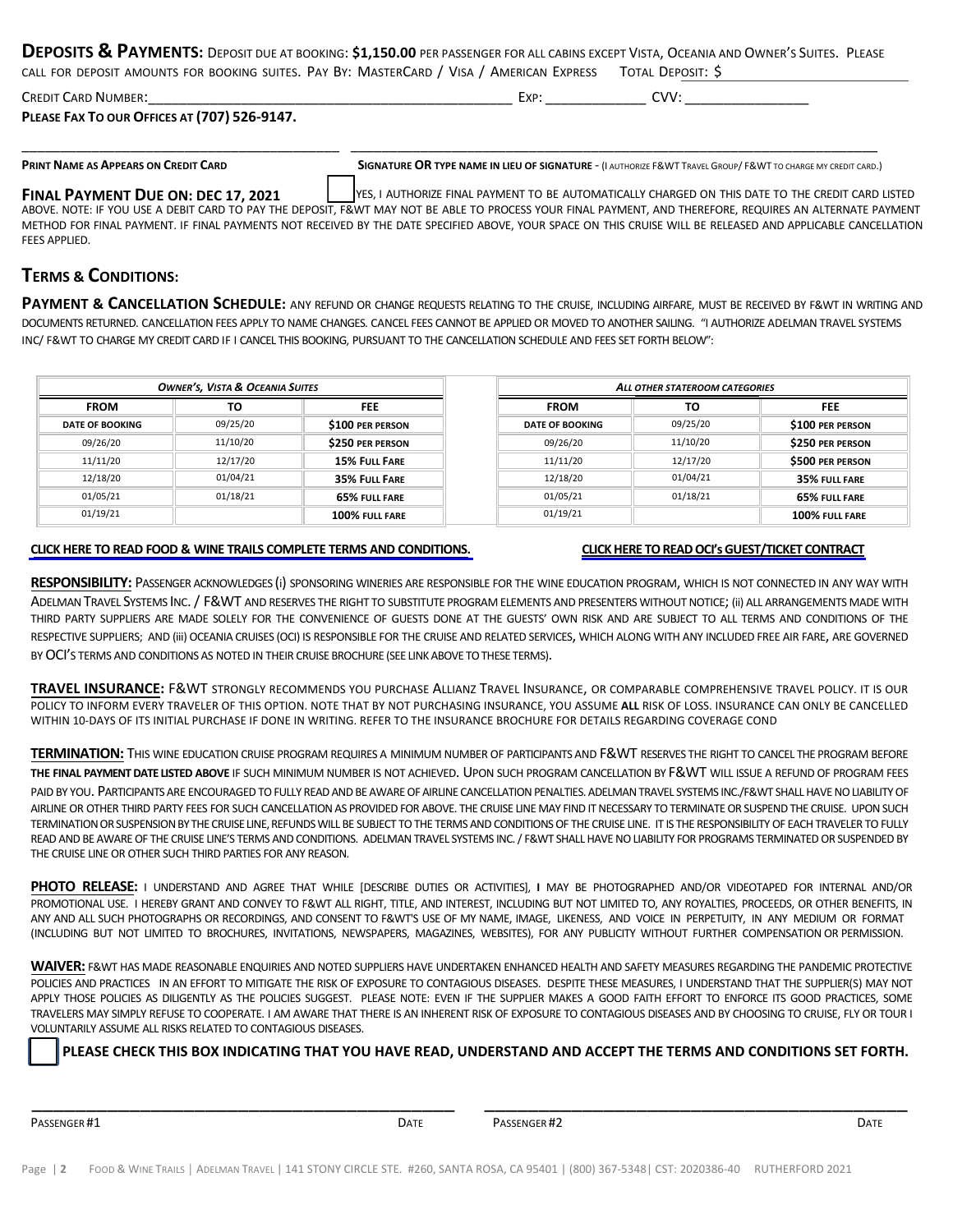**DEPOSITS & PAYMENTS:** DEPOSIT DUE AT BOOKING: **\$1,150.00** PER PASSENGER FOR ALL CABINS EXCEPT VISTA, OCEANIA AND OWNER'<sup>S</sup> SUITES. PLEASE CALL FOR DEPOSIT AMOUNTS FOR BOOKING SUITES. PAY BY: MASTERCARD / VISA / AMERICAN EXPRESS TOTAL DEPOSIT: \$

| <b>CREDIT CARD NUMBER:</b>                   | $\overline{\mathbf{v}}$ | $\gamma$ |  |
|----------------------------------------------|-------------------------|----------|--|
| PLEASE FAX TO OUR OFFICES AT (707) 526-9147. |                         |          |  |

\_\_\_\_\_\_\_\_\_\_\_\_\_\_\_\_\_\_\_\_\_\_\_\_\_\_\_\_\_\_\_\_\_\_\_\_\_\_\_\_\_ \_\_\_\_\_\_\_\_\_\_\_\_\_\_\_\_\_\_\_\_\_\_\_\_\_\_\_\_\_\_\_\_\_\_\_\_\_\_\_\_\_\_\_\_\_\_\_\_\_\_\_\_\_\_\_\_\_\_\_\_\_\_\_\_\_\_\_\_

PRINT NAME AS APPEARS ON CREDIT CARD SIGNATURE OR TYPE NAME IN LIEU OF SIGNATURE - (I AUTHORIZE F&WT TRAVEL GROUP/ F&WT TO CHARGE MY CREDIT CARD.)

**FINAL PAYMENT DUE ON: DEC 17, 2021** YES, I AUTHORIZE FINAL PAYMENT TO BE AUTOMATICALLY CHARGED ON THIS DATE TO THE CREDIT CARD LISTED ABOVE. NOTE: IF YOU USE A DEBIT CARD TO PAY THE DEPOSIT, F&WT MAY NOT BE ABLE TO PROCESS YOUR FINAL PAYMENT, AND THEREFORE, REQUIRES AN ALTERNATE PAYMENT METHOD FOR FINAL PAYMENT. IF FINAL PAYMENTS NOT RECEIVED BY THE DATE SPECIFIED ABOVE, YOUR SPACE ON THIS CRUISE WILL BE RELEASED AND APPLICABLE CANCELLATION FEES APPLIED.

## **TERMS & CONDITIONS:**

**PAYMENT & CANCELLATION SCHEDULE:** ANY REFUND OR CHANGE REQUESTS RELATING TO THE CRUISE, INCLUDING AIRFARE, MUST BE RECEIVED BY F&WT IN WRITING AND DOCUMENTS RETURNED. CANCELLATION FEES APPLY TO NAME CHANGES. CANCEL FEES CANNOT BE APPLIED OR MOVED TO ANOTHER SAILING. "I AUTHORIZE ADELMAN TRAVEL SYSTEMS INC/ F&WT TO CHARGE MY CREDIT CARD IF I CANCEL THIS BOOKING, PURSUANT TO THE CANCELLATION SCHEDULE AND FEES SET FORTH BELOW":

| <b>OWNER'S, VISTA &amp; OCEANIA SUITES</b> |          | ALL OTHER STATEROOM CATEGORIES |                        |          |                  |
|--------------------------------------------|----------|--------------------------------|------------------------|----------|------------------|
| <b>FROM</b>                                | то       | <b>FEE</b>                     | <b>FROM</b>            | то       | <b>FEE</b>       |
| <b>DATE OF BOOKING</b>                     | 09/25/20 | \$100 PER PERSON               | <b>DATE OF BOOKING</b> | 09/25/20 | \$100 PER PERSON |
| 09/26/20                                   | 11/10/20 | \$250 PER PERSON               | 09/26/20               | 11/10/20 | \$250 PER PERSON |
| 11/11/20                                   | 12/17/20 | 15% FULL FARE                  | 11/11/20               | 12/17/20 | \$500 PER PERSON |
| 12/18/20                                   | 01/04/21 | 35% FULL FARE                  | 12/18/20               | 01/04/21 | 35% FULL FARE    |
| 01/05/21                                   | 01/18/21 | <b>65% FULL FARE</b>           | 01/05/21               | 01/18/21 | 65% FULL FARE    |
| 01/19/21                                   |          | 100% FULL FARE                 | 01/19/21               |          | 100% FULL FARE   |

### CLICK HERE TO READ FOOD & WINE TRAILS COMPLETE TERMS AND [CONDITIONS.](https://www.foodandwinetrails.com/wp-content/uploads/2020/08/MASTER-FWT-Oceania-Cruises-Terms-and-Conditions.pdf) CLICK HERE TO READ OCI'S GUEST/TICKET CONTRACT

**RESPONSIBILITY:** PASSENGER ACKNOWLEDGES (i) SPONSORING WINERIES ARE RESPONSIBLE FOR THE WINE EDUCATION PROGRAM, WHICH IS NOT CONNECTED IN ANY WAY WITH ADELMAN TRAVEL SYSTEMS INC. / F&WT AND RESERVES THE RIGHT TO SUBSTITUTE PROGRAM ELEMENTS AND PRESENTERS WITHOUT NOTICE; (ii) ALL ARRANGEMENTS MADE WITH THIRD PARTY SUPPLIERS ARE MADE SOLELY FOR THE CONVENIENCE OF GUESTS DONE AT THE GUESTS' OWN RISK AND ARE SUBJECT TO ALL TERMS AND CONDITIONS OF THE RESPECTIVE SUPPLIERS; AND (iii) OCEANIA CRUISES (OCI) IS RESPONSIBLE FOR THE CRUISE AND RELATED SERVICES, WHICH ALONG WITH ANY INCLUDED FREE AIR FARE, ARE GOVERNED BY OCI'S TERMS AND CONDITIONS AS NOTED IN THEIR CRUISE BROCHURE (SEE LINK ABOVE TO THESE TERMS).

**TRAVEL INSURANCE:** F&WT STRONGLY RECOMMENDS YOU PURCHASE ALLIANZ TRAVEL INSURANCE, OR COMPARABLE COMPREHENSIVE TRAVEL POLICY. IT IS OUR POLICY TO INFORM EVERY TRAVELER OF THIS OPTION. NOTE THAT BY NOT PURCHASING INSURANCE, YOU ASSUME **ALL** RISK OF LOSS. INSURANCE CAN ONLY BE CANCELLED WITHIN 10‐DAYS OF ITS INITIAL PURCHASE IF DONE IN WRITING. REFER TO THE INSURANCE BROCHURE FOR DETAILS REGARDING COVERAGE COND

**TERMINATION:** THIS WINE EDUCATION CRUISE PROGRAM REQUIRES A MINIMUM NUMBER OF PARTICIPANTS AND F&WT RESERVES THE RIGHT TO CANCEL THE PROGRAM BEFORE **THE FINAL PAYMENTDATE LISTED ABOVE** IF SUCH MINIMUM NUMBER IS NOT ACHIEVED. UPON SUCH PROGRAM CANCELLATION BY F&WT WILL ISSUE A REFUND OF PROGRAM FEES

PAID BY YOU. PARTICIPANTS ARE ENCOURAGED TO FULLY READ AND BE AWARE OF AIRLINE CANCELLATION PENALTIES. ADELMAN TRAVEL SYSTEMS INC./F&WT SHALL HAVE NO LIABILITY OF AIRLINE OR OTHER THIRD PARTY FEES FOR SUCH CANCELLATION AS PROVIDED FOR ABOVE. THE CRUISE LINE MAY FIND IT NECESSARY TO TERMINATE OR SUSPEND THE CRUISE. UPON SUCH TERMINATION OR SUSPENSION BY THE CRUISE LINE, REFUNDS WILL BE SUBJECT TO THE TERMS AND CONDITIONS OF THE CRUISE LINE. IT IS THE RESPONSIBILITY OF EACH TRAVELER TO FULLY READ AND BE AWARE OF THE CRUISE LINE'S TERMS AND CONDITIONS. ADELMAN TRAVEL SYSTEMS INC. / F&WT SHALL HAVE NO LIABILITY FOR PROGRAMS TERMINATED OR SUSPENDED BY THE CRUISE LINE OR OTHER SUCH THIRD PARTIES FOR ANY REASON.

**PHOTO RELEASE:** I UNDERSTAND AND AGREE THAT WHILE [DESCRIBE DUTIES OR ACTIVITIES], **I** MAY BE PHOTOGRAPHED AND/OR VIDEOTAPED FOR INTERNAL AND/OR PROMOTIONAL USE. I HEREBY GRANT AND CONVEY TO F&WT ALL RIGHT, TITLE, AND INTEREST, INCLUDING BUT NOT LIMITED TO, ANY ROYALTIES, PROCEEDS, OR OTHER BENEFITS, IN ANY AND ALL SUCH PHOTOGRAPHS OR RECORDINGS, AND CONSENT TO F&WT'S USE OF MY NAME, IMAGE, LIKENESS, AND VOICE IN PERPETUITY, IN ANY MEDIUM OR FORMAT (INCLUDING BUT NOT LIMITED TO BROCHURES, INVITATIONS, NEWSPAPERS, MAGAZINES, WEBSITES), FOR ANY PUBLICITY WITHOUT FURTHER COMPENSATION OR PERMISSION.

**WAIVER:** F&WT HAS MADE REASONABLE ENQUIRIES AND NOTED SUPPLIERS HAVE UNDERTAKEN ENHANCED HEALTH AND SAFETY MEASURES REGARDING THE PANDEMIC PROTECTIVE POLICIES AND PRACTICES IN AN EFFORT TO MITIGATE THE RISK OF EXPOSURE TO CONTAGIOUS DISEASES. DESPITE THESE MEASURES, I UNDERSTAND THAT THE SUPPLIER(S) MAY NOT APPLY THOSE POLICIES AS DILIGENTLY AS THE POLICIES SUGGEST. PLEASE NOTE: EVEN IF THE SUPPLIER MAKES A GOOD FAITH EFFORT TO ENFORCE ITS GOOD PRACTICES, SOME TRAVELERS MAY SIMPLY REFUSE TO COOPERATE. I AM AWARE THAT THERE IS AN INHERENT RISK OF EXPOSURE TO CONTAGIOUS DISEASES AND BY CHOOSING TO CRUISE, FLY OR TOUR I VOLUNTARILY ASSUME ALL RISKS RELATED TO CONTAGIOUS DISEASES.

\_\_\_\_\_\_\_\_\_\_\_\_\_\_\_\_\_\_\_\_\_\_\_\_\_\_\_\_\_\_\_\_\_\_\_\_\_\_\_ \_\_\_\_\_\_\_\_\_\_\_\_\_\_\_\_\_\_\_\_\_\_\_\_\_\_\_\_\_\_\_\_\_\_\_\_\_\_\_

PLEASE CHECK THIS BOX INDICATING THAT YOU HAVE READ, UNDERSTAND AND ACCEPT THE TERMS AND CONDITIONS SET FORTH.

PASSENGER #1 **DATE** PASSENGER #2 **DATE** PASSENGER #2